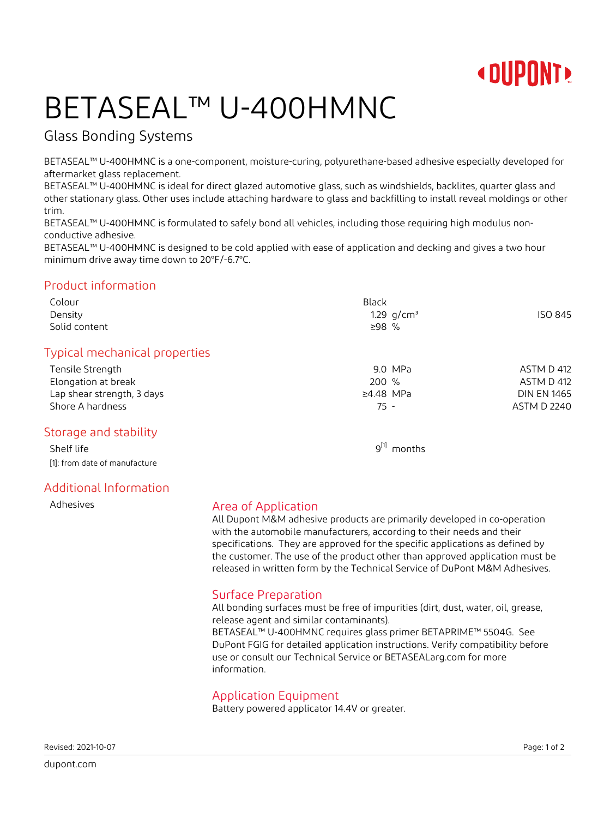

# BETASEAL™ U-400HMNC

### Glass Bonding Systems

BETASEAL™ U-400HMNC is a one-component, moisture-curing, polyurethane-based adhesive especially developed for aftermarket glass replacement.

BETASEAL™ U-400HMNC is ideal for direct glazed automotive glass, such as windshields, backlites, quarter glass and other stationary glass. Other uses include attaching hardware to glass and backfilling to install reveal moldings or other trim.

BETASEAL™ U-400HMNC is formulated to safely bond all vehicles, including those requiring high modulus nonconductive adhesive.

BETASEAL™ U-400HMNC is designed to be cold applied with ease of application and decking and gives a two hour minimum drive away time down to 20°F/-6.7°C.

#### Product information

| Colour<br>Density<br>Solid content | <b>Black</b><br>1.29 $q/cm^3$<br>$≥98$ % | ISO 845            |
|------------------------------------|------------------------------------------|--------------------|
| Typical mechanical properties      |                                          |                    |
| Tensile Strength                   | 9.0 MPa                                  | ASTM D 412         |
| Elongation at break                | 200 %                                    | ASTM D 412         |
| Lap shear strength, 3 days         | $\geq 4.48$ MPa                          | <b>DIN EN 1465</b> |
| Shore A hardness                   | 75 -                                     | <b>ASTM D 2240</b> |
| Storage and stability              |                                          |                    |
| Shelf life                         | $9^{[1]}$ months                         |                    |
| [1]: from date of manufacture      |                                          |                    |

### Additional Information

#### Adhesives **Area of Application**

All Dupont M&M adhesive products are primarily developed in co-operation with the automobile manufacturers, according to their needs and their specifications. They are approved for the specific applications as defined by the customer. The use of the product other than approved application must be released in written form by the Technical Service of DuPont M&M Adhesives.

### Surface Preparation

All bonding surfaces must be free of impurities (dirt, dust, water, oil, grease, release agent and similar contaminants).

BETASEAL™ U-400HMNC requires glass primer BETAPRIME™ 5504G. See DuPont FGIG for detailed application instructions. Verify compatibility before use or consult our Technical Service or BETASEALarg.com for more information.

#### Application Equipment

Battery powered applicator 14.4V or greater.